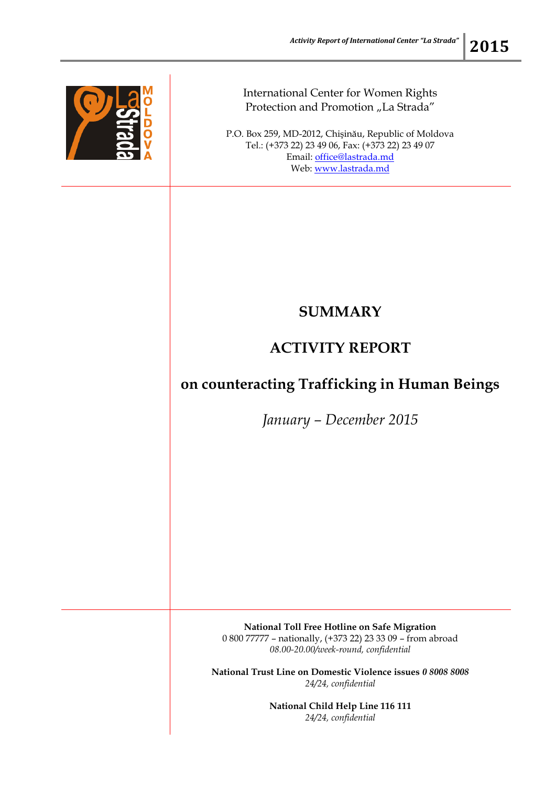

## International Center for Women Rights Protection and Promotion "La Strada"

P.O. Box 259, MD-2012, Chişinău, Republic of Moldova Tel.: (+373 22) 23 49 06, Fax: (+373 22) 23 49 07 Email: [office@lastrada.md](mailto:office@lastrada.md) Web: [www.lastrada.md](http://www.lastrada.md/)

## **SUMMARY**

## **ACTIVITY REPORT**

## **on counteracting Trafficking in Human Beings**

*January – December 2015*

**National Toll Free Hotline on Safe Migration** 0 800 77777 – nationally, (+373 22) 23 33 09 – from abroad *08.00-20.00/week-round, confidential*

**National Trust Line on Domestic Violence issues** *0 8008 8008 24/24, confidential*

> **National Child Help Line 116 111** *24/24, confidential*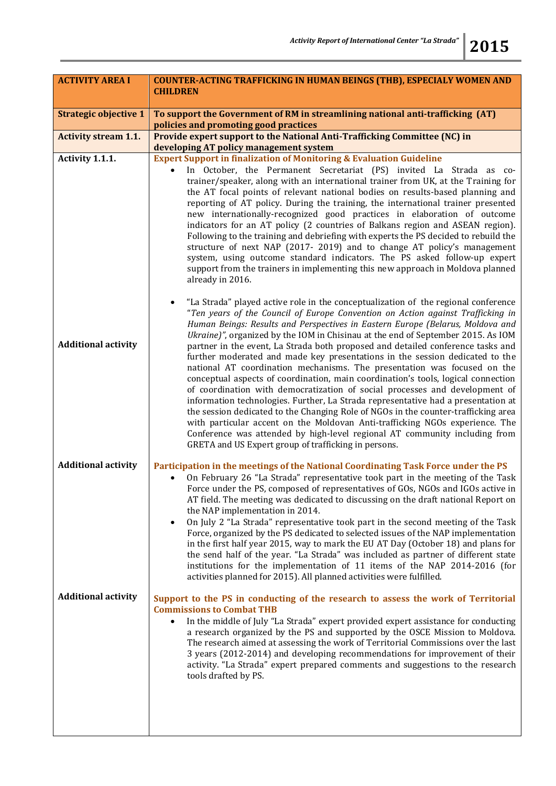| <b>ACTIVITY AREA I</b>       | <b>COUNTER-ACTING TRAFFICKING IN HUMAN BEINGS (THB), ESPECIALY WOMEN AND</b><br><b>CHILDREN</b>                                                                                                                                                                                                                                                                                                                                                                                                                                                                                                                                                                                                                                                                                                                                                                                                                                                                                                                                                                                                                                                                 |
|------------------------------|-----------------------------------------------------------------------------------------------------------------------------------------------------------------------------------------------------------------------------------------------------------------------------------------------------------------------------------------------------------------------------------------------------------------------------------------------------------------------------------------------------------------------------------------------------------------------------------------------------------------------------------------------------------------------------------------------------------------------------------------------------------------------------------------------------------------------------------------------------------------------------------------------------------------------------------------------------------------------------------------------------------------------------------------------------------------------------------------------------------------------------------------------------------------|
| <b>Strategic objective 1</b> | To support the Government of RM in streamlining national anti-trafficking (AT)<br>policies and promoting good practices                                                                                                                                                                                                                                                                                                                                                                                                                                                                                                                                                                                                                                                                                                                                                                                                                                                                                                                                                                                                                                         |
| <b>Activity stream 1.1.</b>  | Provide expert support to the National Anti-Trafficking Committee (NC) in<br>developing AT policy management system                                                                                                                                                                                                                                                                                                                                                                                                                                                                                                                                                                                                                                                                                                                                                                                                                                                                                                                                                                                                                                             |
| Activity 1.1.1.              | <b>Expert Support in finalization of Monitoring &amp; Evaluation Guideline</b><br>In October, the Permanent Secretariat (PS) invited La Strada as co-<br>trainer/speaker, along with an international trainer from UK, at the Training for<br>the AT focal points of relevant national bodies on results-based planning and<br>reporting of AT policy. During the training, the international trainer presented<br>new internationally-recognized good practices in elaboration of outcome<br>indicators for an AT policy (2 countries of Balkans region and ASEAN region).<br>Following to the training and debriefing with experts the PS decided to rebuild the<br>structure of next NAP (2017-2019) and to change AT policy's management<br>system, using outcome standard indicators. The PS asked follow-up expert<br>support from the trainers in implementing this new approach in Moldova planned<br>already in 2016.                                                                                                                                                                                                                                  |
| <b>Additional activity</b>   | "La Strada" played active role in the conceptualization of the regional conference<br>"Ten years of the Council of Europe Convention on Action against Trafficking in<br>Human Beings: Results and Perspectives in Eastern Europe (Belarus, Moldova and<br>Ukraine)", organized by the IOM in Chisinau at the end of September 2015. As IOM<br>partner in the event, La Strada both proposed and detailed conference tasks and<br>further moderated and made key presentations in the session dedicated to the<br>national AT coordination mechanisms. The presentation was focused on the<br>conceptual aspects of coordination, main coordination's tools, logical connection<br>of coordination with democratization of social processes and development of<br>information technologies. Further, La Strada representative had a presentation at<br>the session dedicated to the Changing Role of NGOs in the counter-trafficking area<br>with particular accent on the Moldovan Anti-trafficking NGOs experience. The<br>Conference was attended by high-level regional AT community including from<br>GRETA and US Expert group of trafficking in persons. |
| <b>Additional activity</b>   | Participation in the meetings of the National Coordinating Task Force under the PS<br>On February 26 "La Strada" representative took part in the meeting of the Task<br>Force under the PS, composed of representatives of GOs, NGOs and IGOs active in<br>AT field. The meeting was dedicated to discussing on the draft national Report on<br>the NAP implementation in 2014.<br>On July 2 "La Strada" representative took part in the second meeting of the Task<br>Force, organized by the PS dedicated to selected issues of the NAP implementation<br>in the first half year 2015, way to mark the EU AT Day (October 18) and plans for<br>the send half of the year. "La Strada" was included as partner of different state<br>institutions for the implementation of 11 items of the NAP 2014-2016 (for<br>activities planned for 2015). All planned activities were fulfilled.                                                                                                                                                                                                                                                                         |
| <b>Additional activity</b>   | Support to the PS in conducting of the research to assess the work of Territorial<br><b>Commissions to Combat THB</b><br>In the middle of July "La Strada" expert provided expert assistance for conducting<br>a research organized by the PS and supported by the OSCE Mission to Moldova.<br>The research aimed at assessing the work of Territorial Commissions over the last<br>3 years (2012-2014) and developing recommendations for improvement of their<br>activity. "La Strada" expert prepared comments and suggestions to the research<br>tools drafted by PS.                                                                                                                                                                                                                                                                                                                                                                                                                                                                                                                                                                                       |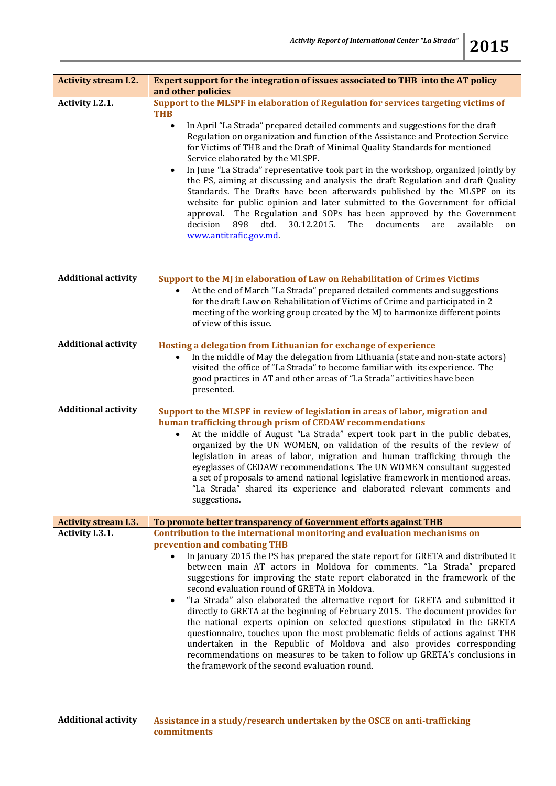| <b>Activity stream I.2.</b> | Expert support for the integration of issues associated to THB into the AT policy<br>and other policies                                                                                                                                                                                                                                                                                                                                                                                                                                                                                                                                                                                                                                                                                                                                                                                                                                                          |  |
|-----------------------------|------------------------------------------------------------------------------------------------------------------------------------------------------------------------------------------------------------------------------------------------------------------------------------------------------------------------------------------------------------------------------------------------------------------------------------------------------------------------------------------------------------------------------------------------------------------------------------------------------------------------------------------------------------------------------------------------------------------------------------------------------------------------------------------------------------------------------------------------------------------------------------------------------------------------------------------------------------------|--|
| Activity I.2.1.             | Support to the MLSPF in elaboration of Regulation for services targeting victims of<br>THB                                                                                                                                                                                                                                                                                                                                                                                                                                                                                                                                                                                                                                                                                                                                                                                                                                                                       |  |
|                             | In April "La Strada" prepared detailed comments and suggestions for the draft<br>$\bullet$<br>Regulation on organization and function of the Assistance and Protection Service<br>for Victims of THB and the Draft of Minimal Quality Standards for mentioned<br>Service elaborated by the MLSPF.<br>In June "La Strada" representative took part in the workshop, organized jointly by<br>$\bullet$<br>the PS, aiming at discussing and analysis the draft Regulation and draft Quality<br>Standards. The Drafts have been afterwards published by the MLSPF on its<br>website for public opinion and later submitted to the Government for official<br>The Regulation and SOPs has been approved by the Government<br>approval.<br>decision<br>898<br>dtd.<br>30.12.2015.<br>documents<br>available<br>The<br>are<br>on<br>www.antitrafic.gov.md                                                                                                               |  |
| <b>Additional activity</b>  | Support to the MJ in elaboration of Law on Rehabilitation of Crimes Victims<br>At the end of March "La Strada" prepared detailed comments and suggestions<br>for the draft Law on Rehabilitation of Victims of Crime and participated in 2<br>meeting of the working group created by the MJ to harmonize different points<br>of view of this issue.                                                                                                                                                                                                                                                                                                                                                                                                                                                                                                                                                                                                             |  |
| <b>Additional activity</b>  | Hosting a delegation from Lithuanian for exchange of experience<br>In the middle of May the delegation from Lithuania (state and non-state actors)<br>visited the office of "La Strada" to become familiar with its experience. The<br>good practices in AT and other areas of "La Strada" activities have been<br>presented.                                                                                                                                                                                                                                                                                                                                                                                                                                                                                                                                                                                                                                    |  |
| <b>Additional activity</b>  | Support to the MLSPF in review of legislation in areas of labor, migration and<br>human trafficking through prism of CEDAW recommendations<br>At the middle of August "La Strada" expert took part in the public debates,<br>organized by the UN WOMEN, on validation of the results of the review of<br>legislation in areas of labor, migration and human trafficking through the<br>eyeglasses of CEDAW recommendations. The UN WOMEN consultant suggested<br>a set of proposals to amend national legislative framework in mentioned areas.<br>"La Strada" shared its experience and elaborated relevant comments and<br>suggestions.                                                                                                                                                                                                                                                                                                                        |  |
| <b>Activity stream I.3.</b> | To promote better transparency of Government efforts against THB                                                                                                                                                                                                                                                                                                                                                                                                                                                                                                                                                                                                                                                                                                                                                                                                                                                                                                 |  |
| Activity I.3.1.             | Contribution to the international monitoring and evaluation mechanisms on<br>prevention and combating THB<br>In January 2015 the PS has prepared the state report for GRETA and distributed it<br>between main AT actors in Moldova for comments. "La Strada" prepared<br>suggestions for improving the state report elaborated in the framework of the<br>second evaluation round of GRETA in Moldova.<br>"La Strada" also elaborated the alternative report for GRETA and submitted it<br>$\bullet$<br>directly to GRETA at the beginning of February 2015. The document provides for<br>the national experts opinion on selected questions stipulated in the GRETA<br>questionnaire, touches upon the most problematic fields of actions against THB<br>undertaken in the Republic of Moldova and also provides corresponding<br>recommendations on measures to be taken to follow up GRETA's conclusions in<br>the framework of the second evaluation round. |  |
| <b>Additional activity</b>  | Assistance in a study/research undertaken by the OSCE on anti-trafficking<br>commitments                                                                                                                                                                                                                                                                                                                                                                                                                                                                                                                                                                                                                                                                                                                                                                                                                                                                         |  |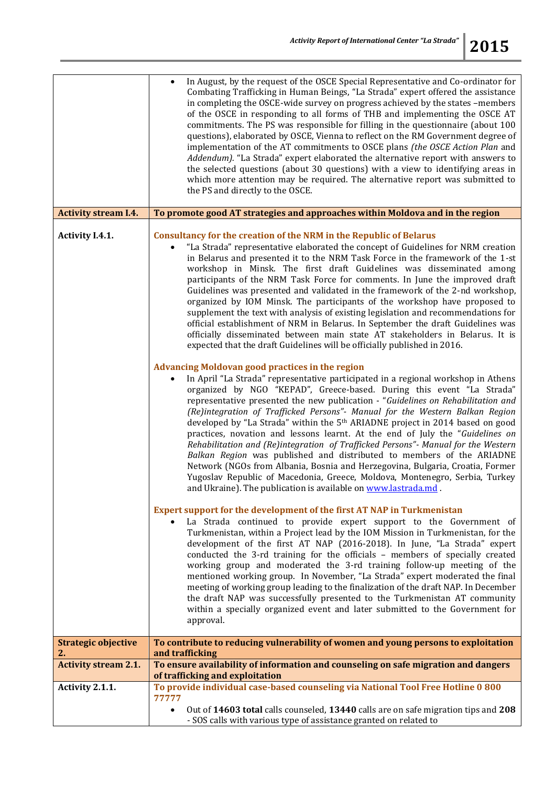|                             | In August, by the request of the OSCE Special Representative and Co-ordinator for<br>Combating Trafficking in Human Beings, "La Strada" expert offered the assistance<br>in completing the OSCE-wide survey on progress achieved by the states -members<br>of the OSCE in responding to all forms of THB and implementing the OSCE AT<br>commitments. The PS was responsible for filling in the questionnaire (about 100<br>questions), elaborated by OSCE, Vienna to reflect on the RM Government degree of<br>implementation of the AT commitments to OSCE plans (the OSCE Action Plan and<br>Addendum). "La Strada" expert elaborated the alternative report with answers to<br>the selected questions (about 30 questions) with a view to identifying areas in<br>which more attention may be required. The alternative report was submitted to<br>the PS and directly to the OSCE.                                                                                                                                                                                                                                                                                                                                                                                                                                                                                                                                                                                                                                                                                                                                                                                                                                                                                                                                                                                                                                                                                                                                                                                                                                                                                                                                                                                                                                                                                                                                                                                                                                                                                                                                                                                                                     |
|-----------------------------|-------------------------------------------------------------------------------------------------------------------------------------------------------------------------------------------------------------------------------------------------------------------------------------------------------------------------------------------------------------------------------------------------------------------------------------------------------------------------------------------------------------------------------------------------------------------------------------------------------------------------------------------------------------------------------------------------------------------------------------------------------------------------------------------------------------------------------------------------------------------------------------------------------------------------------------------------------------------------------------------------------------------------------------------------------------------------------------------------------------------------------------------------------------------------------------------------------------------------------------------------------------------------------------------------------------------------------------------------------------------------------------------------------------------------------------------------------------------------------------------------------------------------------------------------------------------------------------------------------------------------------------------------------------------------------------------------------------------------------------------------------------------------------------------------------------------------------------------------------------------------------------------------------------------------------------------------------------------------------------------------------------------------------------------------------------------------------------------------------------------------------------------------------------------------------------------------------------------------------------------------------------------------------------------------------------------------------------------------------------------------------------------------------------------------------------------------------------------------------------------------------------------------------------------------------------------------------------------------------------------------------------------------------------------------------------------------------------|
| <b>Activity stream I.4.</b> | To promote good AT strategies and approaches within Moldova and in the region                                                                                                                                                                                                                                                                                                                                                                                                                                                                                                                                                                                                                                                                                                                                                                                                                                                                                                                                                                                                                                                                                                                                                                                                                                                                                                                                                                                                                                                                                                                                                                                                                                                                                                                                                                                                                                                                                                                                                                                                                                                                                                                                                                                                                                                                                                                                                                                                                                                                                                                                                                                                                               |
| Activity I.4.1.             | <b>Consultancy for the creation of the NRM in the Republic of Belarus</b><br>"La Strada" representative elaborated the concept of Guidelines for NRM creation<br>in Belarus and presented it to the NRM Task Force in the framework of the 1-st<br>workshop in Minsk. The first draft Guidelines was disseminated among<br>participants of the NRM Task Force for comments. In June the improved draft<br>Guidelines was presented and validated in the framework of the 2-nd workshop,<br>organized by IOM Minsk. The participants of the workshop have proposed to<br>supplement the text with analysis of existing legislation and recommendations for<br>official establishment of NRM in Belarus. In September the draft Guidelines was<br>officially disseminated between main state AT stakeholders in Belarus. It is<br>expected that the draft Guidelines will be officially published in 2016.<br><b>Advancing Moldovan good practices in the region</b><br>In April "La Strada" representative participated in a regional workshop in Athens<br>organized by NGO "KEPAD", Greece-based. During this event "La Strada"<br>representative presented the new publication - "Guidelines on Rehabilitation and<br>(Re)integration of Trafficked Persons"- Manual for the Western Balkan Region<br>developed by "La Strada" within the 5 <sup>th</sup> ARIADNE project in 2014 based on good<br>practices, novation and lessons learnt. At the end of July the "Guidelines on<br>Rehabilitation and (Re)integration of Trafficked Persons"- Manual for the Western<br>Balkan Region was published and distributed to members of the ARIADNE<br>Network (NGOs from Albania, Bosnia and Herzegovina, Bulgaria, Croatia, Former<br>Yugoslav Republic of Macedonia, Greece, Moldova, Montenegro, Serbia, Turkey<br>and Ukraine). The publication is available on www.lastrada.md.<br>Expert support for the development of the first AT NAP in Turkmenistan<br>La Strada continued to provide expert support to the Government of<br>Turkmenistan, within a Project lead by the IOM Mission in Turkmenistan, for the<br>development of the first AT NAP (2016-2018). In June, "La Strada" expert<br>conducted the 3-rd training for the officials - members of specially created<br>working group and moderated the 3-rd training follow-up meeting of the<br>mentioned working group. In November, "La Strada" expert moderated the final<br>meeting of working group leading to the finalization of the draft NAP. In December<br>the draft NAP was successfully presented to the Turkmenistan AT community<br>within a specially organized event and later submitted to the Government for<br>approval. |
| <b>Strategic objective</b>  | To contribute to reducing vulnerability of women and young persons to exploitation                                                                                                                                                                                                                                                                                                                                                                                                                                                                                                                                                                                                                                                                                                                                                                                                                                                                                                                                                                                                                                                                                                                                                                                                                                                                                                                                                                                                                                                                                                                                                                                                                                                                                                                                                                                                                                                                                                                                                                                                                                                                                                                                                                                                                                                                                                                                                                                                                                                                                                                                                                                                                          |
| 2.                          | and trafficking                                                                                                                                                                                                                                                                                                                                                                                                                                                                                                                                                                                                                                                                                                                                                                                                                                                                                                                                                                                                                                                                                                                                                                                                                                                                                                                                                                                                                                                                                                                                                                                                                                                                                                                                                                                                                                                                                                                                                                                                                                                                                                                                                                                                                                                                                                                                                                                                                                                                                                                                                                                                                                                                                             |
| <b>Activity stream 2.1.</b> | To ensure availability of information and counseling on safe migration and dangers<br>of trafficking and exploitation                                                                                                                                                                                                                                                                                                                                                                                                                                                                                                                                                                                                                                                                                                                                                                                                                                                                                                                                                                                                                                                                                                                                                                                                                                                                                                                                                                                                                                                                                                                                                                                                                                                                                                                                                                                                                                                                                                                                                                                                                                                                                                                                                                                                                                                                                                                                                                                                                                                                                                                                                                                       |
| Activity 2.1.1.             | To provide individual case-based counseling via National Tool Free Hotline 0 800                                                                                                                                                                                                                                                                                                                                                                                                                                                                                                                                                                                                                                                                                                                                                                                                                                                                                                                                                                                                                                                                                                                                                                                                                                                                                                                                                                                                                                                                                                                                                                                                                                                                                                                                                                                                                                                                                                                                                                                                                                                                                                                                                                                                                                                                                                                                                                                                                                                                                                                                                                                                                            |
|                             | 77777<br>Out of 14603 total calls counseled, 13440 calls are on safe migration tips and 208<br>$\bullet$<br>- SOS calls with various type of assistance granted on related to                                                                                                                                                                                                                                                                                                                                                                                                                                                                                                                                                                                                                                                                                                                                                                                                                                                                                                                                                                                                                                                                                                                                                                                                                                                                                                                                                                                                                                                                                                                                                                                                                                                                                                                                                                                                                                                                                                                                                                                                                                                                                                                                                                                                                                                                                                                                                                                                                                                                                                                               |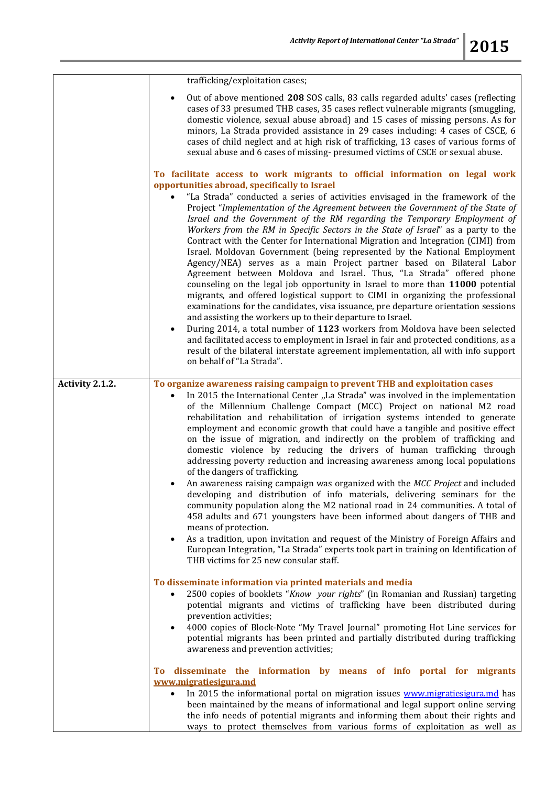|                 | trafficking/exploitation cases;                                                                                                                                                                                                                                                                                                                                                                                                                                                                                                                                                                                                                                                                                                                                                                                                                                                                                                                                                                                                                                                                                                                                                                                                                                                                                                                                                                                                              |
|-----------------|----------------------------------------------------------------------------------------------------------------------------------------------------------------------------------------------------------------------------------------------------------------------------------------------------------------------------------------------------------------------------------------------------------------------------------------------------------------------------------------------------------------------------------------------------------------------------------------------------------------------------------------------------------------------------------------------------------------------------------------------------------------------------------------------------------------------------------------------------------------------------------------------------------------------------------------------------------------------------------------------------------------------------------------------------------------------------------------------------------------------------------------------------------------------------------------------------------------------------------------------------------------------------------------------------------------------------------------------------------------------------------------------------------------------------------------------|
|                 | Out of above mentioned 208 SOS calls, 83 calls regarded adults' cases (reflecting<br>cases of 33 presumed THB cases, 35 cases reflect vulnerable migrants (smuggling,<br>domestic violence, sexual abuse abroad) and 15 cases of missing persons. As for<br>minors, La Strada provided assistance in 29 cases including: 4 cases of CSCE, 6<br>cases of child neglect and at high risk of trafficking, 13 cases of various forms of<br>sexual abuse and 6 cases of missing- presumed victims of CSCE or sexual abuse.                                                                                                                                                                                                                                                                                                                                                                                                                                                                                                                                                                                                                                                                                                                                                                                                                                                                                                                        |
|                 | To facilitate access to work migrants to official information on legal work                                                                                                                                                                                                                                                                                                                                                                                                                                                                                                                                                                                                                                                                                                                                                                                                                                                                                                                                                                                                                                                                                                                                                                                                                                                                                                                                                                  |
|                 | opportunities abroad, specifically to Israel<br>"La Strada" conducted a series of activities envisaged in the framework of the<br>Project "Implementation of the Agreement between the Government of the State of<br>Israel and the Government of the RM regarding the Temporary Employment of<br>Workers from the RM in Specific Sectors in the State of Israel" as a party to the<br>Contract with the Center for International Migration and Integration (CIMI) from<br>Israel. Moldovan Government (being represented by the National Employment<br>Agency/NEA) serves as a main Project partner based on Bilateral Labor<br>Agreement between Moldova and Israel. Thus, "La Strada" offered phone<br>counseling on the legal job opportunity in Israel to more than 11000 potential<br>migrants, and offered logistical support to CIMI in organizing the professional<br>examinations for the candidates, visa issuance, pre departure orientation sessions<br>and assisting the workers up to their departure to Israel.<br>During 2014, a total number of 1123 workers from Moldova have been selected<br>and facilitated access to employment in Israel in fair and protected conditions, as a<br>result of the bilateral interstate agreement implementation, all with info support<br>on behalf of "La Strada".                                                                                                                   |
|                 |                                                                                                                                                                                                                                                                                                                                                                                                                                                                                                                                                                                                                                                                                                                                                                                                                                                                                                                                                                                                                                                                                                                                                                                                                                                                                                                                                                                                                                              |
| Activity 2.1.2. | To organize awareness raising campaign to prevent THB and exploitation cases<br>In 2015 the International Center "La Strada" was involved in the implementation<br>of the Millennium Challenge Compact (MCC) Project on national M2 road<br>rehabilitation and rehabilitation of irrigation systems intended to generate<br>employment and economic growth that could have a tangible and positive effect<br>on the issue of migration, and indirectly on the problem of trafficking and<br>domestic violence by reducing the drivers of human trafficking through<br>addressing poverty reduction and increasing awareness among local populations<br>of the dangers of trafficking.<br>An awareness raising campaign was organized with the MCC Project and included<br>developing and distribution of info materials, delivering seminars for the<br>community population along the M2 national road in 24 communities. A total of<br>458 adults and 671 youngsters have been informed about dangers of THB and<br>means of protection.<br>As a tradition, upon invitation and request of the Ministry of Foreign Affairs and<br>$\bullet$<br>European Integration, "La Strada" experts took part in training on Identification of<br>THB victims for 25 new consular staff.<br>To disseminate information via printed materials and media<br>2500 copies of booklets "Know your rights" (in Romanian and Russian) targeting<br>$\bullet$ |
|                 | potential migrants and victims of trafficking have been distributed during<br>prevention activities;<br>4000 copies of Block-Note "My Travel Journal" promoting Hot Line services for<br>potential migrants has been printed and partially distributed during trafficking<br>awareness and prevention activities;                                                                                                                                                                                                                                                                                                                                                                                                                                                                                                                                                                                                                                                                                                                                                                                                                                                                                                                                                                                                                                                                                                                            |
|                 | disseminate the information by means of info portal for migrants<br><b>To</b>                                                                                                                                                                                                                                                                                                                                                                                                                                                                                                                                                                                                                                                                                                                                                                                                                                                                                                                                                                                                                                                                                                                                                                                                                                                                                                                                                                |
|                 | www.migratiesigura.md                                                                                                                                                                                                                                                                                                                                                                                                                                                                                                                                                                                                                                                                                                                                                                                                                                                                                                                                                                                                                                                                                                                                                                                                                                                                                                                                                                                                                        |
|                 | In 2015 the informational portal on migration issues www.migratiesigura.md has<br>$\bullet$<br>been maintained by the means of informational and legal support online serving<br>the info needs of potential migrants and informing them about their rights and<br>ways to protect themselves from various forms of exploitation as well as                                                                                                                                                                                                                                                                                                                                                                                                                                                                                                                                                                                                                                                                                                                                                                                                                                                                                                                                                                                                                                                                                                  |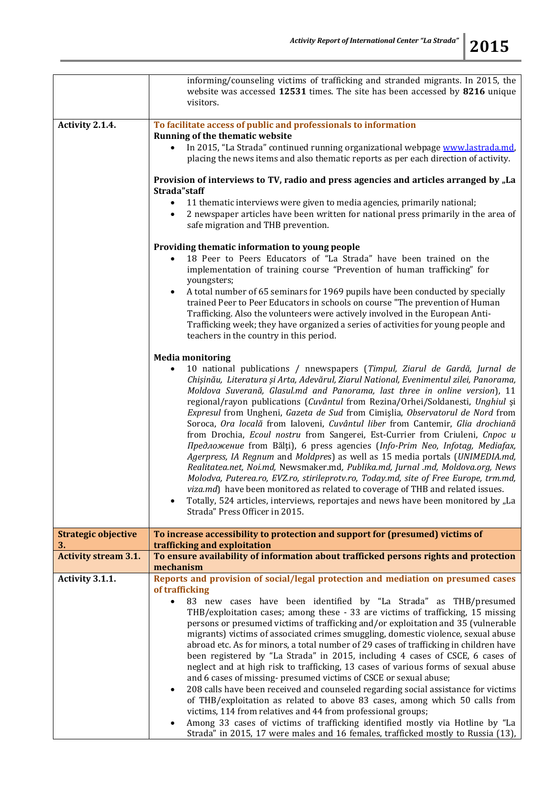| ſ |  |
|---|--|
|   |  |

|                                  | informing/counseling victims of trafficking and stranded migrants. In 2015, the<br>website was accessed 12531 times. The site has been accessed by 8216 unique<br>visitors.                                                                                                                                                                                                                                                                                                                                                                                                                                                                                                                                                                                                                                                                                                                                                                                                                                                                                                                                                                                                                     |  |  |
|----------------------------------|-------------------------------------------------------------------------------------------------------------------------------------------------------------------------------------------------------------------------------------------------------------------------------------------------------------------------------------------------------------------------------------------------------------------------------------------------------------------------------------------------------------------------------------------------------------------------------------------------------------------------------------------------------------------------------------------------------------------------------------------------------------------------------------------------------------------------------------------------------------------------------------------------------------------------------------------------------------------------------------------------------------------------------------------------------------------------------------------------------------------------------------------------------------------------------------------------|--|--|
| Activity 2.1.4.                  | To facilitate access of public and professionals to information<br>Running of the thematic website<br>In 2015, "La Strada" continued running organizational webpage www.lastrada.md,                                                                                                                                                                                                                                                                                                                                                                                                                                                                                                                                                                                                                                                                                                                                                                                                                                                                                                                                                                                                            |  |  |
|                                  | placing the news items and also thematic reports as per each direction of activity.                                                                                                                                                                                                                                                                                                                                                                                                                                                                                                                                                                                                                                                                                                                                                                                                                                                                                                                                                                                                                                                                                                             |  |  |
|                                  | Provision of interviews to TV, radio and press agencies and articles arranged by "La<br>Strada"staff                                                                                                                                                                                                                                                                                                                                                                                                                                                                                                                                                                                                                                                                                                                                                                                                                                                                                                                                                                                                                                                                                            |  |  |
|                                  | 11 thematic interviews were given to media agencies, primarily national;<br>$\bullet$<br>2 newspaper articles have been written for national press primarily in the area of<br>safe migration and THB prevention.                                                                                                                                                                                                                                                                                                                                                                                                                                                                                                                                                                                                                                                                                                                                                                                                                                                                                                                                                                               |  |  |
|                                  | Providing thematic information to young people<br>18 Peer to Peers Educators of "La Strada" have been trained on the<br>implementation of training course "Prevention of human trafficking" for<br>youngsters;<br>A total number of 65 seminars for 1969 pupils have been conducted by specially<br>$\bullet$                                                                                                                                                                                                                                                                                                                                                                                                                                                                                                                                                                                                                                                                                                                                                                                                                                                                                   |  |  |
|                                  | trained Peer to Peer Educators in schools on course "The prevention of Human<br>Trafficking. Also the volunteers were actively involved in the European Anti-<br>Trafficking week; they have organized a series of activities for young people and<br>teachers in the country in this period.                                                                                                                                                                                                                                                                                                                                                                                                                                                                                                                                                                                                                                                                                                                                                                                                                                                                                                   |  |  |
|                                  | <b>Media monitoring</b>                                                                                                                                                                                                                                                                                                                                                                                                                                                                                                                                                                                                                                                                                                                                                                                                                                                                                                                                                                                                                                                                                                                                                                         |  |  |
|                                  | 10 national publications / nnewspapers (Timpul, Ziarul de Gardă, Jurnal de<br>Chișinău, Literatura și Arta, Adevărul, Ziarul National, Evenimentul zilei, Panorama,<br>Moldova Suverană, Glasul.md and Panorama, last three in online version), 11<br>regional/rayon publications (Cuvântul from Rezina/Orhei/Soldanesti, Unghiul și<br>Expresul from Ungheni, Gazeta de Sud from Cimișlia, Observatorul de Nord from<br>Soroca, Ora locală from Ialoveni, Cuvântul liber from Cantemir, Glia drochiană<br>from Drochia, Ecoul nostru from Sangerei, Est-Currier from Criuleni, Cnpoc u<br>Предложение from Bălți), 6 press agencies (Info-Prim Neo, Infotag, Mediafax,<br>Agerpress, IA Regnum and Moldpres) as well as 15 media portals (UNIMEDIA.md,<br>Realitatea.net, Noi.md, Newsmaker.md, Publika.md, Jurnal .md, Moldova.org, News<br>Molodva, Puterea.ro, EVZ.ro, stirileprotv.ro, Today.md, site of Free Europe, trm.md,<br>viza.md) have been monitored as related to coverage of THB and related issues.<br>Totally, 524 articles, interviews, reportajes and news have been monitored by "La<br>Strada" Press Officer in 2015.                                                     |  |  |
| <b>Strategic objective</b><br>3. | To increase accessibility to protection and support for (presumed) victims of<br>trafficking and exploitation                                                                                                                                                                                                                                                                                                                                                                                                                                                                                                                                                                                                                                                                                                                                                                                                                                                                                                                                                                                                                                                                                   |  |  |
| <b>Activity stream 3.1.</b>      | To ensure availability of information about trafficked persons rights and protection<br>mechanism                                                                                                                                                                                                                                                                                                                                                                                                                                                                                                                                                                                                                                                                                                                                                                                                                                                                                                                                                                                                                                                                                               |  |  |
| Activity 3.1.1.                  | Reports and provision of social/legal protection and mediation on presumed cases<br>of trafficking<br>83 new cases have been identified by "La Strada" as THB/presumed<br>THB/exploitation cases; among these - 33 are victims of trafficking, 15 missing<br>persons or presumed victims of trafficking and/or exploitation and 35 (vulnerable<br>migrants) victims of associated crimes smuggling, domestic violence, sexual abuse<br>abroad etc. As for minors, a total number of 29 cases of trafficking in children have<br>been registered by "La Strada" in 2015, including 4 cases of CSCE, 6 cases of<br>neglect and at high risk to trafficking, 13 cases of various forms of sexual abuse<br>and 6 cases of missing- presumed victims of CSCE or sexual abuse;<br>208 calls have been received and counseled regarding social assistance for victims<br>$\bullet$<br>of THB/exploitation as related to above 83 cases, among which 50 calls from<br>victims, 114 from relatives and 44 from professional groups;<br>Among 33 cases of victims of trafficking identified mostly via Hotline by "La<br>Strada" in 2015, 17 were males and 16 females, trafficked mostly to Russia (13), |  |  |